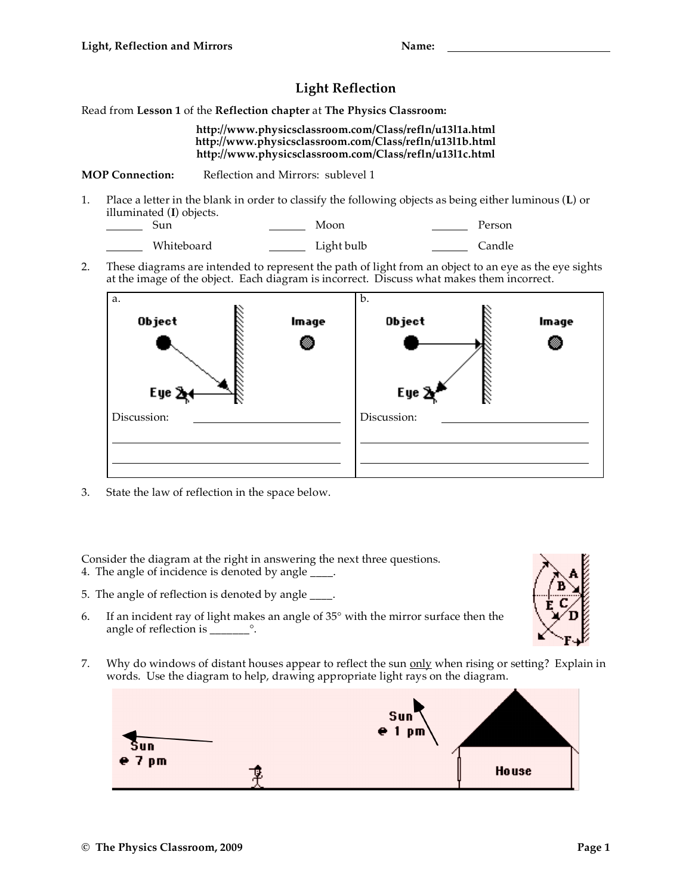## **Light Reflection**

Read from **Lesson 1** of the **Reflection chapter** at **The Physics Classroom:**

## **http://www.physicsclassroom.com/Class/refln/u13l1a.html http://www.physicsclassroom.com/Class/refln/u13l1b.html http://www.physicsclassroom.com/Class/refln/u13l1c.html**

**MOP Connection:** Reflection and Mirrors: sublevel 1

- 1. Place a letter in the blank in order to classify the following objects as being either luminous (**L**) or illuminated (**I**) objects.
	- Sun Moon Person
	- Whiteboard <u>Light bulb</u> Candle
- 2. These diagrams are intended to represent the path of light from an object to an eye as the eye sights at the image of the object. Each diagram is incorrect. Discuss what makes them incorrect.



3. State the law of reflection in the space below.

Consider the diagram at the right in answering the next three questions. 4. The angle of incidence is denoted by angle \_\_\_\_.

- 5. The angle of reflection is denoted by angle \_\_\_\_.
- 6. If an incident ray of light makes an angle of 35° with the mirror surface then the angle of reflection is \_\_\_\_\_\_\_°.



7. Why do windows of distant houses appear to reflect the sun only when rising or setting? Explain in words. Use the diagram to help, drawing appropriate light rays on the diagram.